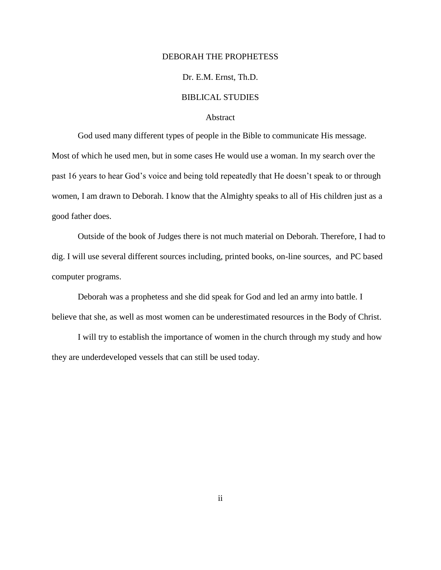#### DEBORAH THE PROPHETESS

## Dr. E.M. Ernst, Th.D.

## BIBLICAL STUDIES

#### Abstract

God used many different types of people in the Bible to communicate His message. Most of which he used men, but in some cases He would use a woman. In my search over the past 16 years to hear God's voice and being told repeatedly that He doesn't speak to or through women, I am drawn to Deborah. I know that the Almighty speaks to all of His children just as a good father does.

Outside of the book of Judges there is not much material on Deborah. Therefore, I had to dig. I will use several different sources including, printed books, on-line sources, and PC based computer programs.

Deborah was a prophetess and she did speak for God and led an army into battle. I believe that she, as well as most women can be underestimated resources in the Body of Christ.

I will try to establish the importance of women in the church through my study and how they are underdeveloped vessels that can still be used today.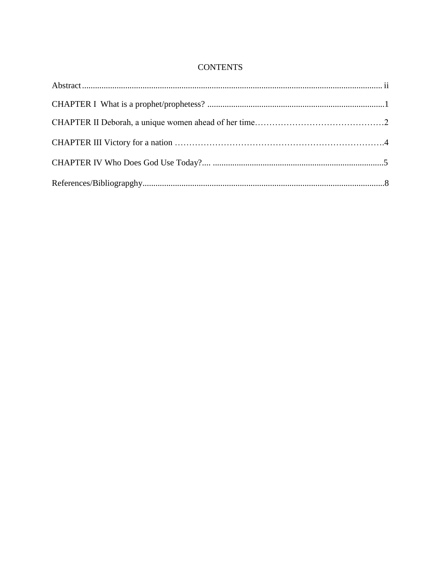# **CONTENTS**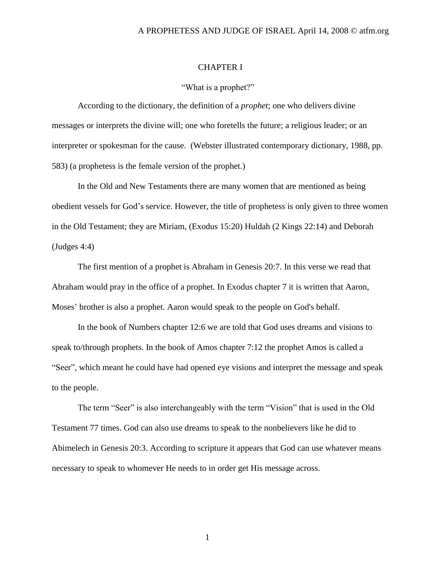#### A PROPHETESS AND JUDGE OF ISRAEL April 14, 2008 © atfm.org

## CHAPTER I

## "What is a prophet?"

According to the dictionary, the definition of a *prophet*; one who delivers divine messages or interprets the divine will; one who foretells the future; a religious leader; or an interpreter or spokesman for the cause. (Webster illustrated contemporary dictionary, 1988, pp. 583) (a prophetess is the female version of the prophet.)

In the Old and New Testaments there are many women that are mentioned as being obedient vessels for God's service. However, the title of prophetess is only given to three women in the Old Testament; they are Miriam, (Exodus 15:20) Huldah (2 Kings 22:14) and Deborah (Judges 4:4)

The first mention of a prophet is Abraham in Genesis 20:7. In this verse we read that Abraham would pray in the office of a prophet. In Exodus chapter 7 it is written that Aaron, Moses' brother is also a prophet. Aaron would speak to the people on God's behalf.

In the book of Numbers chapter 12:6 we are told that God uses dreams and visions to speak to/through prophets. In the book of Amos chapter 7:12 the prophet Amos is called a "Seer", which meant he could have had opened eye visions and interpret the message and speak to the people.

The term "Seer" is also interchangeably with the term "Vision" that is used in the Old Testament 77 times. God can also use dreams to speak to the nonbelievers like he did to Abimelech in Genesis 20:3. According to scripture it appears that God can use whatever means necessary to speak to whomever He needs to in order get His message across.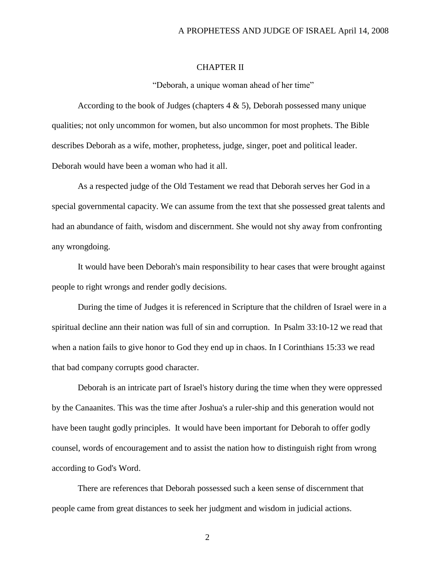## CHAPTER II

"Deborah, a unique woman ahead of her time"

According to the book of Judges (chapters 4 & 5), Deborah possessed many unique qualities; not only uncommon for women, but also uncommon for most prophets. The Bible describes Deborah as a wife, mother, prophetess, judge, singer, poet and political leader. Deborah would have been a woman who had it all.

As a respected judge of the Old Testament we read that Deborah serves her God in a special governmental capacity. We can assume from the text that she possessed great talents and had an abundance of faith, wisdom and discernment. She would not shy away from confronting any wrongdoing.

It would have been Deborah's main responsibility to hear cases that were brought against people to right wrongs and render godly decisions.

During the time of Judges it is referenced in Scripture that the children of Israel were in a spiritual decline ann their nation was full of sin and corruption. In Psalm 33:10-12 we read that when a nation fails to give honor to God they end up in chaos. In I Corinthians 15:33 we read that bad company corrupts good character.

Deborah is an intricate part of Israel's history during the time when they were oppressed by the Canaanites. This was the time after Joshua's a ruler-ship and this generation would not have been taught godly principles. It would have been important for Deborah to offer godly counsel, words of encouragement and to assist the nation how to distinguish right from wrong according to God's Word.

There are references that Deborah possessed such a keen sense of discernment that people came from great distances to seek her judgment and wisdom in judicial actions.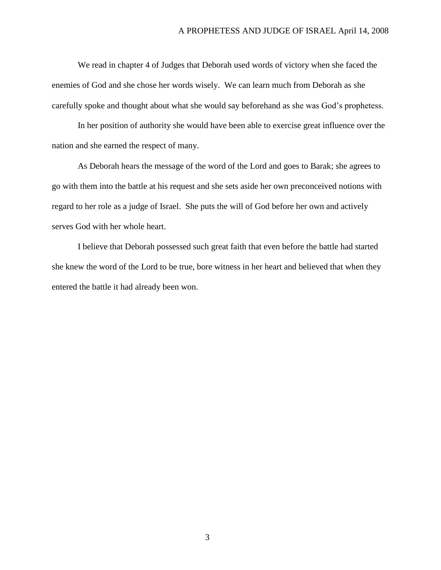We read in chapter 4 of Judges that Deborah used words of victory when she faced the enemies of God and she chose her words wisely. We can learn much from Deborah as she carefully spoke and thought about what she would say beforehand as she was God's prophetess.

In her position of authority she would have been able to exercise great influence over the nation and she earned the respect of many.

As Deborah hears the message of the word of the Lord and goes to Barak; she agrees to go with them into the battle at his request and she sets aside her own preconceived notions with regard to her role as a judge of Israel. She puts the will of God before her own and actively serves God with her whole heart.

I believe that Deborah possessed such great faith that even before the battle had started she knew the word of the Lord to be true, bore witness in her heart and believed that when they entered the battle it had already been won.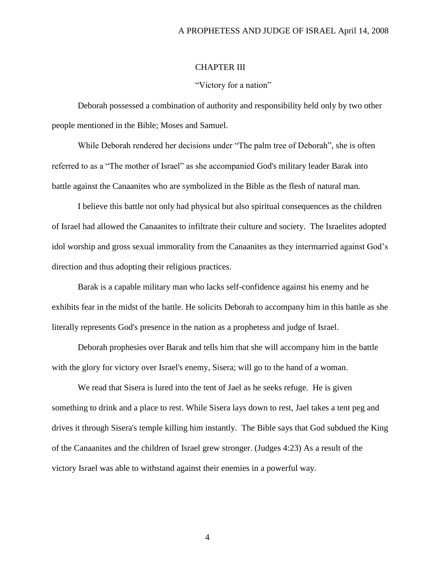#### A PROPHETESS AND JUDGE OF ISRAEL April 14, 2008

## CHAPTER III

#### "Victory for a nation"

Deborah possessed a combination of authority and responsibility held only by two other people mentioned in the Bible; Moses and Samuel.

While Deborah rendered her decisions under "The palm tree of Deborah", she is often referred to as a "The mother of Israel" as she accompanied God's military leader Barak into battle against the Canaanites who are symbolized in the Bible as the flesh of natural man.

I believe this battle not only had physical but also spiritual consequences as the children of Israel had allowed the Canaanites to infiltrate their culture and society. The Israelites adopted idol worship and gross sexual immorality from the Canaanites as they intermarried against God's direction and thus adopting their religious practices.

Barak is a capable military man who lacks self-confidence against his enemy and he exhibits fear in the midst of the battle. He solicits Deborah to accompany him in this battle as she literally represents God's presence in the nation as a prophetess and judge of Israel.

Deborah prophesies over Barak and tells him that she will accompany him in the battle with the glory for victory over Israel's enemy, Sisera; will go to the hand of a woman.

We read that Sisera is lured into the tent of Jael as he seeks refuge. He is given something to drink and a place to rest. While Sisera lays down to rest, Jael takes a tent peg and drives it through Sisera's temple killing him instantly. The Bible says that God subdued the King of the Canaanites and the children of Israel grew stronger. (Judges 4:23) As a result of the victory Israel was able to withstand against their enemies in a powerful way.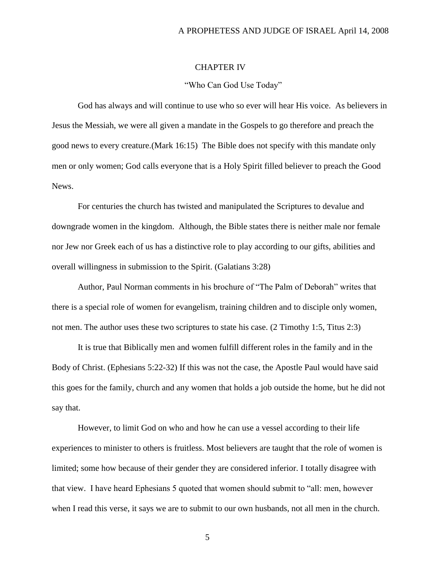## CHAPTER IV

#### "Who Can God Use Today"

God has always and will continue to use who so ever will hear His voice. As believers in Jesus the Messiah, we were all given a mandate in the Gospels to go therefore and preach the good news to every creature.(Mark 16:15) The Bible does not specify with this mandate only men or only women; God calls everyone that is a Holy Spirit filled believer to preach the Good News.

For centuries the church has twisted and manipulated the Scriptures to devalue and downgrade women in the kingdom. Although, the Bible states there is neither male nor female nor Jew nor Greek each of us has a distinctive role to play according to our gifts, abilities and overall willingness in submission to the Spirit. (Galatians 3:28)

Author, Paul Norman comments in his brochure of "The Palm of Deborah" writes that there is a special role of women for evangelism, training children and to disciple only women, not men. The author uses these two scriptures to state his case. (2 Timothy 1:5, Titus 2:3)

It is true that Biblically men and women fulfill different roles in the family and in the Body of Christ. (Ephesians 5:22-32) If this was not the case, the Apostle Paul would have said this goes for the family, church and any women that holds a job outside the home, but he did not say that.

However, to limit God on who and how he can use a vessel according to their life experiences to minister to others is fruitless. Most believers are taught that the role of women is limited; some how because of their gender they are considered inferior. I totally disagree with that view. I have heard Ephesians 5 quoted that women should submit to "all: men, however when I read this verse, it says we are to submit to our own husbands, not all men in the church.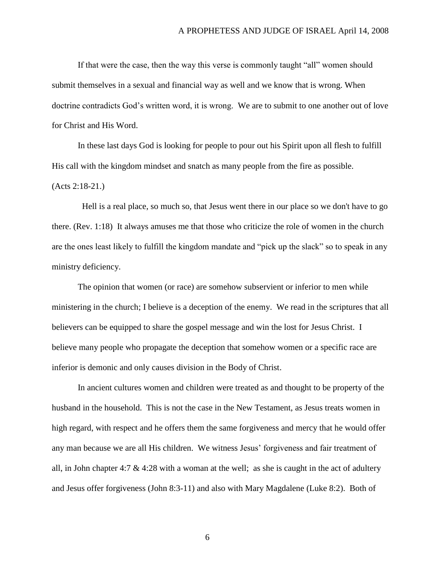If that were the case, then the way this verse is commonly taught "all" women should submit themselves in a sexual and financial way as well and we know that is wrong. When doctrine contradicts God's written word, it is wrong. We are to submit to one another out of love for Christ and His Word.

In these last days God is looking for people to pour out his Spirit upon all flesh to fulfill His call with the kingdom mindset and snatch as many people from the fire as possible. (Acts 2:18-21.)

 Hell is a real place, so much so, that Jesus went there in our place so we don't have to go there. (Rev. 1:18) It always amuses me that those who criticize the role of women in the church are the ones least likely to fulfill the kingdom mandate and "pick up the slack" so to speak in any ministry deficiency.

The opinion that women (or race) are somehow subservient or inferior to men while ministering in the church; I believe is a deception of the enemy. We read in the scriptures that all believers can be equipped to share the gospel message and win the lost for Jesus Christ. I believe many people who propagate the deception that somehow women or a specific race are inferior is demonic and only causes division in the Body of Christ.

In ancient cultures women and children were treated as and thought to be property of the husband in the household. This is not the case in the New Testament, as Jesus treats women in high regard, with respect and he offers them the same forgiveness and mercy that he would offer any man because we are all His children. We witness Jesus' forgiveness and fair treatment of all, in John chapter 4:7  $\&$  4:28 with a woman at the well; as she is caught in the act of adultery and Jesus offer forgiveness (John 8:3-11) and also with Mary Magdalene (Luke 8:2). Both of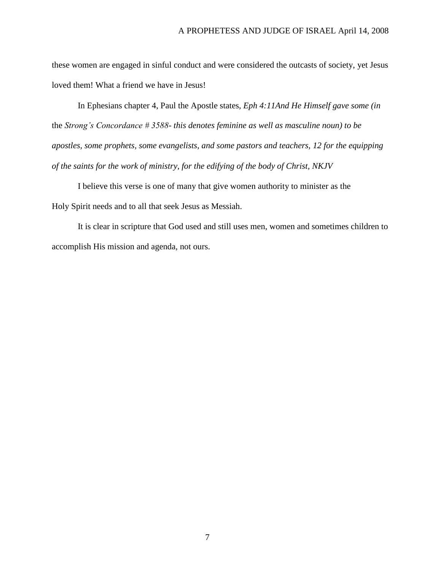these women are engaged in sinful conduct and were considered the outcasts of society, yet Jesus loved them! What a friend we have in Jesus!

In Ephesians chapter 4, Paul the Apostle states, *Eph 4:11And He Himself gave some (in* the *Strong's Concordance # 3588- this denotes feminine as well as masculine noun) to be apostles, some prophets, some evangelists, and some pastors and teachers, 12 for the equipping of the saints for the work of ministry, for the edifying of the body of Christ, NKJV*

I believe this verse is one of many that give women authority to minister as the Holy Spirit needs and to all that seek Jesus as Messiah.

It is clear in scripture that God used and still uses men, women and sometimes children to accomplish His mission and agenda, not ours.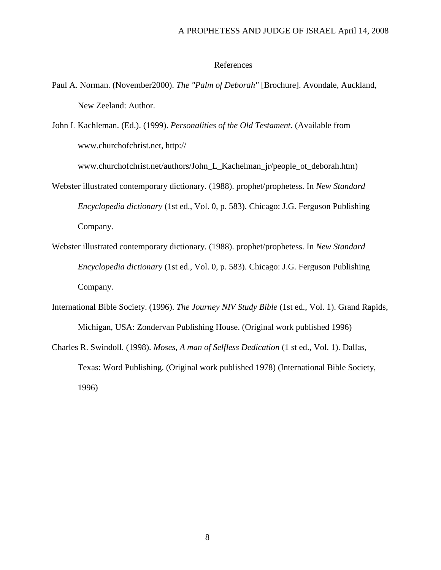### References

- Paul A. Norman. (November2000). *The "Palm of Deborah"* [Brochure]. Avondale, Auckland, New Zeeland: Author.
- John L Kachleman. (Ed.). (1999). *Personalities of the Old Testament*. (Available from www.churchofchrist.net, http://

www.churchofchrist.net/authors/John\_L\_Kachelman\_jr/people\_ot\_deborah.htm)

- Webster illustrated contemporary dictionary. (1988). prophet/prophetess. In *New Standard Encyclopedia dictionary* (1st ed., Vol. 0, p. 583). Chicago: J.G. Ferguson Publishing Company.
- Webster illustrated contemporary dictionary. (1988). prophet/prophetess. In *New Standard Encyclopedia dictionary* (1st ed., Vol. 0, p. 583). Chicago: J.G. Ferguson Publishing Company.
- International Bible Society. (1996). *The Journey NIV Study Bible* (1st ed., Vol. 1). Grand Rapids, Michigan, USA: Zondervan Publishing House. (Original work published 1996)
- Charles R. Swindoll. (1998). *Moses, A man of Selfless Dedication* (1 st ed., Vol. 1). Dallas, Texas: Word Publishing. (Original work published 1978) (International Bible Society, 1996)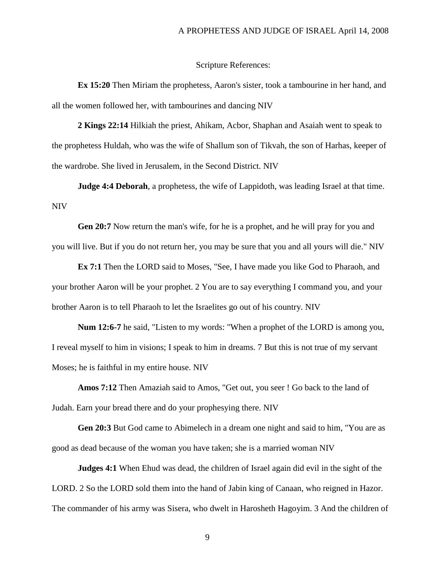#### Scripture References:

**Ex 15:20** Then Miriam the prophetess, Aaron's sister, took a tambourine in her hand, and all the women followed her, with tambourines and dancing NIV

**2 Kings 22:14** Hilkiah the priest, Ahikam, Acbor, Shaphan and Asaiah went to speak to the prophetess Huldah, who was the wife of Shallum son of Tikvah, the son of Harhas, keeper of the wardrobe. She lived in Jerusalem, in the Second District. NIV

**Judge 4:4 Deborah**, a prophetess, the wife of Lappidoth, was leading Israel at that time. NIV

**Gen 20:7** Now return the man's wife, for he is a prophet, and he will pray for you and you will live. But if you do not return her, you may be sure that you and all yours will die." NIV

**Ex 7:1** Then the LORD said to Moses, "See, I have made you like God to Pharaoh, and your brother Aaron will be your prophet. 2 You are to say everything I command you, and your brother Aaron is to tell Pharaoh to let the Israelites go out of his country. NIV

**Num 12:6-7** he said, "Listen to my words: "When a prophet of the LORD is among you, I reveal myself to him in visions; I speak to him in dreams. 7 But this is not true of my servant Moses; he is faithful in my entire house. NIV

**Amos 7:12** Then Amaziah said to Amos, "Get out, you seer ! Go back to the land of Judah. Earn your bread there and do your prophesying there. NIV

**Gen 20:3** But God came to Abimelech in a dream one night and said to him, "You are as good as dead because of the woman you have taken; she is a married woman NIV

**Judges 4:1** When Ehud was dead, the children of Israel again did evil in the sight of the LORD. 2 So the LORD sold them into the hand of Jabin king of Canaan, who reigned in Hazor. The commander of his army was Sisera, who dwelt in Harosheth Hagoyim. 3 And the children of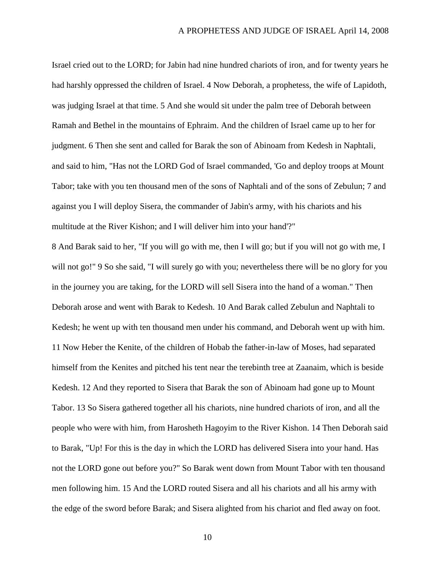Israel cried out to the LORD; for Jabin had nine hundred chariots of iron, and for twenty years he had harshly oppressed the children of Israel. 4 Now Deborah, a prophetess, the wife of Lapidoth, was judging Israel at that time. 5 And she would sit under the palm tree of Deborah between Ramah and Bethel in the mountains of Ephraim. And the children of Israel came up to her for judgment. 6 Then she sent and called for Barak the son of Abinoam from Kedesh in Naphtali, and said to him, "Has not the LORD God of Israel commanded, 'Go and deploy troops at Mount Tabor; take with you ten thousand men of the sons of Naphtali and of the sons of Zebulun; 7 and against you I will deploy Sisera, the commander of Jabin's army, with his chariots and his multitude at the River Kishon; and I will deliver him into your hand'?"

8 And Barak said to her, "If you will go with me, then I will go; but if you will not go with me, I will not go!" 9 So she said, "I will surely go with you; nevertheless there will be no glory for you in the journey you are taking, for the LORD will sell Sisera into the hand of a woman." Then Deborah arose and went with Barak to Kedesh. 10 And Barak called Zebulun and Naphtali to Kedesh; he went up with ten thousand men under his command, and Deborah went up with him. 11 Now Heber the Kenite, of the children of Hobab the father-in-law of Moses, had separated himself from the Kenites and pitched his tent near the terebinth tree at Zaanaim, which is beside Kedesh. 12 And they reported to Sisera that Barak the son of Abinoam had gone up to Mount Tabor. 13 So Sisera gathered together all his chariots, nine hundred chariots of iron, and all the people who were with him, from Harosheth Hagoyim to the River Kishon. 14 Then Deborah said to Barak, "Up! For this is the day in which the LORD has delivered Sisera into your hand. Has not the LORD gone out before you?" So Barak went down from Mount Tabor with ten thousand men following him. 15 And the LORD routed Sisera and all his chariots and all his army with the edge of the sword before Barak; and Sisera alighted from his chariot and fled away on foot.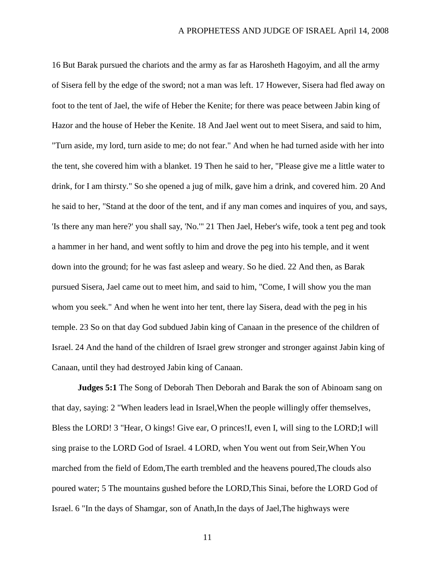16 But Barak pursued the chariots and the army as far as Harosheth Hagoyim, and all the army of Sisera fell by the edge of the sword; not a man was left. 17 However, Sisera had fled away on foot to the tent of Jael, the wife of Heber the Kenite; for there was peace between Jabin king of Hazor and the house of Heber the Kenite. 18 And Jael went out to meet Sisera, and said to him, "Turn aside, my lord, turn aside to me; do not fear." And when he had turned aside with her into the tent, she covered him with a blanket. 19 Then he said to her, "Please give me a little water to drink, for I am thirsty." So she opened a jug of milk, gave him a drink, and covered him. 20 And he said to her, "Stand at the door of the tent, and if any man comes and inquires of you, and says, 'Is there any man here?' you shall say, 'No.'" 21 Then Jael, Heber's wife, took a tent peg and took a hammer in her hand, and went softly to him and drove the peg into his temple, and it went down into the ground; for he was fast asleep and weary. So he died. 22 And then, as Barak pursued Sisera, Jael came out to meet him, and said to him, "Come, I will show you the man whom you seek." And when he went into her tent, there lay Sisera, dead with the peg in his temple. 23 So on that day God subdued Jabin king of Canaan in the presence of the children of Israel. 24 And the hand of the children of Israel grew stronger and stronger against Jabin king of Canaan, until they had destroyed Jabin king of Canaan.

**Judges 5:1** The Song of Deborah Then Deborah and Barak the son of Abinoam sang on that day, saying: 2 "When leaders lead in Israel,When the people willingly offer themselves, Bless the LORD! 3 "Hear, O kings! Give ear, O princes!I, even I, will sing to the LORD;I will sing praise to the LORD God of Israel. 4 LORD, when You went out from Seir,When You marched from the field of Edom,The earth trembled and the heavens poured,The clouds also poured water; 5 The mountains gushed before the LORD,This Sinai, before the LORD God of Israel. 6 "In the days of Shamgar, son of Anath,In the days of Jael,The highways were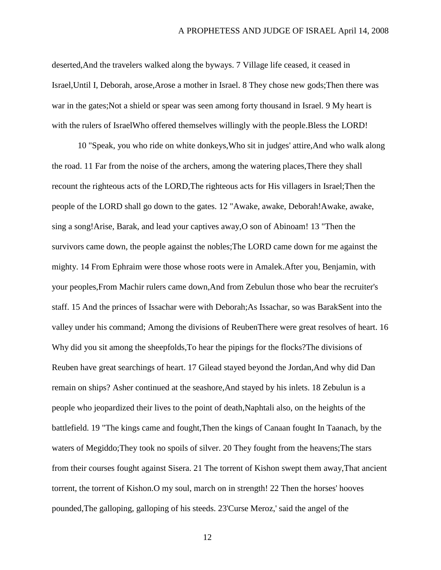deserted,And the travelers walked along the byways. 7 Village life ceased, it ceased in Israel,Until I, Deborah, arose,Arose a mother in Israel. 8 They chose new gods;Then there was war in the gates;Not a shield or spear was seen among forty thousand in Israel. 9 My heart is with the rulers of IsraelWho offered themselves willingly with the people.Bless the LORD!

10 "Speak, you who ride on white donkeys,Who sit in judges' attire,And who walk along the road. 11 Far from the noise of the archers, among the watering places,There they shall recount the righteous acts of the LORD,The righteous acts for His villagers in Israel;Then the people of the LORD shall go down to the gates. 12 "Awake, awake, Deborah!Awake, awake, sing a song!Arise, Barak, and lead your captives away,O son of Abinoam! 13 "Then the survivors came down, the people against the nobles;The LORD came down for me against the mighty. 14 From Ephraim were those whose roots were in Amalek.After you, Benjamin, with your peoples,From Machir rulers came down,And from Zebulun those who bear the recruiter's staff. 15 And the princes of Issachar were with Deborah;As Issachar, so was BarakSent into the valley under his command; Among the divisions of ReubenThere were great resolves of heart. 16 Why did you sit among the sheepfolds,To hear the pipings for the flocks?The divisions of Reuben have great searchings of heart. 17 Gilead stayed beyond the Jordan,And why did Dan remain on ships? Asher continued at the seashore,And stayed by his inlets. 18 Zebulun is a people who jeopardized their lives to the point of death,Naphtali also, on the heights of the battlefield. 19 "The kings came and fought,Then the kings of Canaan fought In Taanach, by the waters of Megiddo;They took no spoils of silver. 20 They fought from the heavens;The stars from their courses fought against Sisera. 21 The torrent of Kishon swept them away,That ancient torrent, the torrent of Kishon.O my soul, march on in strength! 22 Then the horses' hooves pounded,The galloping, galloping of his steeds. 23'Curse Meroz,' said the angel of the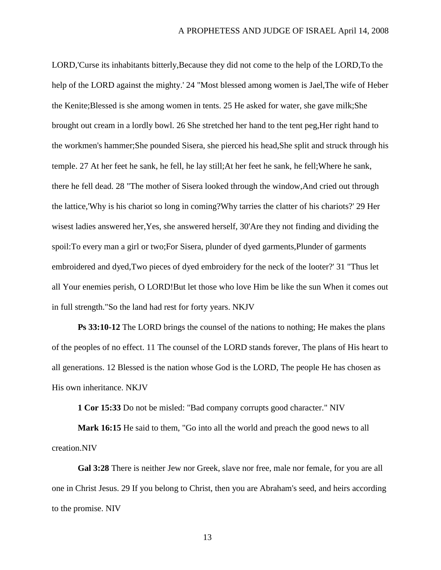LORD,'Curse its inhabitants bitterly,Because they did not come to the help of the LORD,To the help of the LORD against the mighty.' 24 "Most blessed among women is Jael,The wife of Heber the Kenite;Blessed is she among women in tents. 25 He asked for water, she gave milk;She brought out cream in a lordly bowl. 26 She stretched her hand to the tent peg,Her right hand to the workmen's hammer;She pounded Sisera, she pierced his head,She split and struck through his temple. 27 At her feet he sank, he fell, he lay still;At her feet he sank, he fell;Where he sank, there he fell dead. 28 "The mother of Sisera looked through the window,And cried out through the lattice,'Why is his chariot so long in coming?Why tarries the clatter of his chariots?' 29 Her wisest ladies answered her,Yes, she answered herself, 30'Are they not finding and dividing the spoil:To every man a girl or two;For Sisera, plunder of dyed garments,Plunder of garments embroidered and dyed,Two pieces of dyed embroidery for the neck of the looter?' 31 "Thus let all Your enemies perish, O LORD!But let those who love Him be like the sun When it comes out in full strength."So the land had rest for forty years. NKJV

**Ps 33:10-12** The LORD brings the counsel of the nations to nothing; He makes the plans of the peoples of no effect. 11 The counsel of the LORD stands forever, The plans of His heart to all generations. 12 Blessed is the nation whose God is the LORD, The people He has chosen as His own inheritance. NKJV

**1 Cor 15:33** Do not be misled: "Bad company corrupts good character." NIV

**Mark 16:15** He said to them, "Go into all the world and preach the good news to all creation.NIV

**Gal 3:28** There is neither Jew nor Greek, slave nor free, male nor female, for you are all one in Christ Jesus. 29 If you belong to Christ, then you are Abraham's seed, and heirs according to the promise. NIV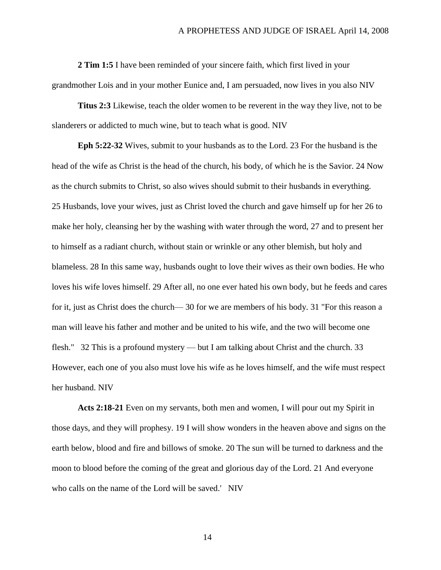**2 Tim 1:5** I have been reminded of your sincere faith, which first lived in your grandmother Lois and in your mother Eunice and, I am persuaded, now lives in you also NIV

**Titus 2:3** Likewise, teach the older women to be reverent in the way they live, not to be slanderers or addicted to much wine, but to teach what is good. NIV

**Eph 5:22-32** Wives, submit to your husbands as to the Lord. 23 For the husband is the head of the wife as Christ is the head of the church, his body, of which he is the Savior. 24 Now as the church submits to Christ, so also wives should submit to their husbands in everything. 25 Husbands, love your wives, just as Christ loved the church and gave himself up for her 26 to make her holy, cleansing her by the washing with water through the word, 27 and to present her to himself as a radiant church, without stain or wrinkle or any other blemish, but holy and blameless. 28 In this same way, husbands ought to love their wives as their own bodies. He who loves his wife loves himself. 29 After all, no one ever hated his own body, but he feeds and cares for it, just as Christ does the church— 30 for we are members of his body. 31 "For this reason a man will leave his father and mother and be united to his wife, and the two will become one flesh." 32 This is a profound mystery — but I am talking about Christ and the church. 33 However, each one of you also must love his wife as he loves himself, and the wife must respect her husband. NIV

**Acts 2:18-21** Even on my servants, both men and women, I will pour out my Spirit in those days, and they will prophesy. 19 I will show wonders in the heaven above and signs on the earth below, blood and fire and billows of smoke. 20 The sun will be turned to darkness and the moon to blood before the coming of the great and glorious day of the Lord. 21 And everyone who calls on the name of the Lord will be saved.' NIV